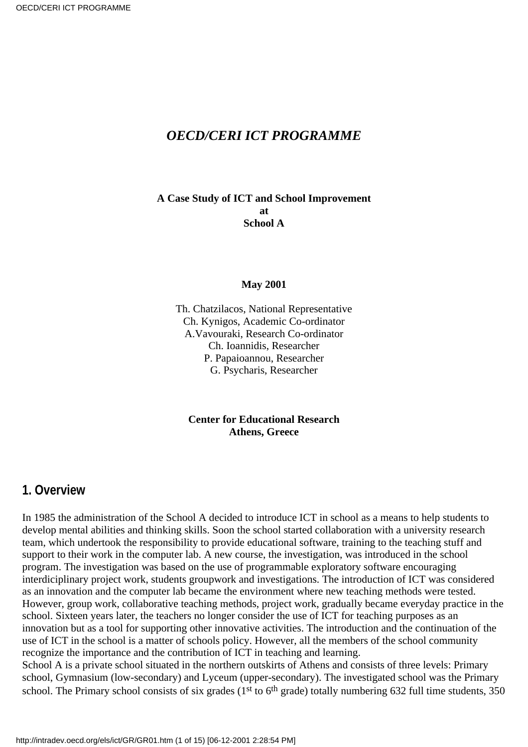#### *OECD/CERI ICT PROGRAMME*

**A Case Study of ICT and School Improvement at School A**

#### **May 2001**

Th. Chatzilacos, National Representative Ch. Kynigos, Academic Co-ordinator A.Vavouraki, Research Co-ordinator Ch. Ioannidis, Researcher P. Papaioannou, Researcher G. Psycharis, Researcher

**Center for Educational Research Athens, Greece**

#### **1. Overview**

In 1985 the administration of the School A decided to introduce ICT in school as a means to help students to develop mental abilities and thinking skills. Soon the school started collaboration with a university research team, which undertook the responsibility to provide educational software, training to the teaching stuff and support to their work in the computer lab. A new course, the investigation, was introduced in the school program. The investigation was based on the use of programmable exploratory software encouraging interdiciplinary project work, students groupwork and investigations. The introduction of ICT was considered as an innovation and the computer lab became the environment where new teaching methods were tested. However, group work, collaborative teaching methods, project work, gradually became everyday practice in the school. Sixteen years later, the teachers no longer consider the use of ICT for teaching purposes as an innovation but as a tool for supporting other innovative activities. The introduction and the continuation of the use of ICT in the school is a matter of school s policy. However, all the members of the school community recognize the importance and the contribution of ICT in teaching and learning.

School A is a private school situated in the northern outskirts of Athens and consists of three levels: Primary school, Gymnasium (low-secondary) and Lyceum (upper-secondary). The investigated school was the Primary school. The Primary school consists of six grades (1<sup>st</sup> to 6<sup>th</sup> grade) totally numbering 632 full time students, 350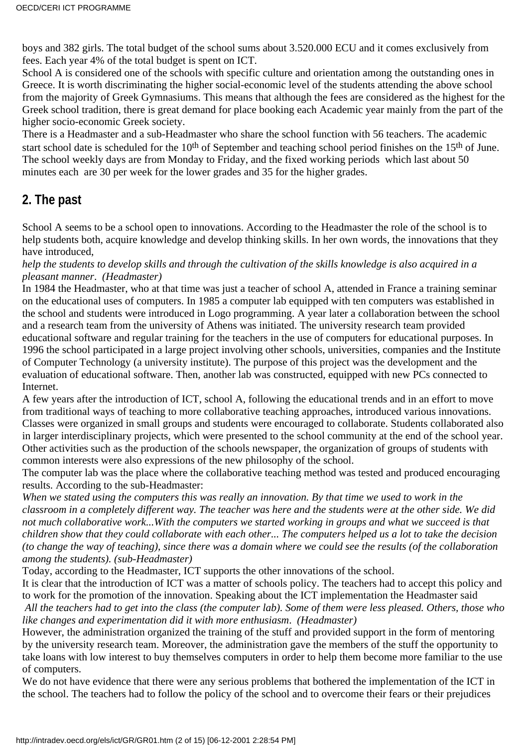boys and 382 girls. The total budget of the school sums about 3.520.000 ECU and it comes exclusively from fees. Each year 4% of the total budget is spent on ICT.

School A is considered one of the schools with specific culture and orientation among the outstanding ones in Greece. It is worth discriminating the higher social-economic level of the students attending the above school from the majority of Greek Gymnasiums. This means that although the fees are considered as the highest for the Greek school tradition, there is great demand for place booking each Academic year mainly from the part of the higher socio-economic Greek society.

There is a Headmaster and a sub-Headmaster who share the school function with 56 teachers. The academic start school date is scheduled for the 10<sup>th</sup> of September and teaching school period finishes on the 15<sup>th</sup> of June. The school weekly days are from Monday to Friday, and the fixed working periods which last about 50 minutes each are 30 per week for the lower grades and 35 for the higher grades.

#### **2. The past**

School A seems to be a school open to innovations. According to the Headmaster the role of the school is to help students both, acquire knowledge and develop thinking skills. In her own words, the innovations that they have introduced,

*help the students to develop skills and through the cultivation of the skills knowledge is also acquired in a pleasant manner*. *(Headmaster)*

In 1984 the Headmaster, who at that time was just a teacher of school A, attended in France a training seminar on the educational uses of computers. In 1985 a computer lab equipped with ten computers was established in the school and students were introduced in Logo programming. A year later a collaboration between the school and a research team from the university of Athens was initiated. The university research team provided educational software and regular training for the teachers in the use of computers for educational purposes. In 1996 the school participated in a large project involving other schools, universities, companies and the Institute of Computer Technology (a university institute). The purpose of this project was the development and the evaluation of educational software. Then, another lab was constructed, equipped with new PC s connected to Internet.

A few years after the introduction of ICT, school A, following the educational trends and in an effort to move from traditional ways of teaching to more collaborative teaching approaches, introduced various innovations. Classes were organized in small groups and students were encouraged to collaborate. Students collaborated also in larger interdisciplinary projects, which were presented to the school community at the end of the school year. Other activities such as the production of the school s newspaper, the organization of groups of students with common interests were also expressions of the new philosophy of the school.

The computer lab was the place where the collaborative teaching method was tested and produced encouraging results. According to the sub-Headmaster:

*When we stated using the computers this was really an innovation. By that time we used to work in the classroom in a completely different way. The teacher was here and the students were at the other side. We did not much collaborative work...With the computers we started working in groups and what we succeed is that children show that they could collaborate with each other... The computers helped us a lot to take the decision (to change the way of teaching), since there was a domain where we could see the results (of the collaboration among the students). (sub-Headmaster)*

Today, according to the Headmaster, ICT supports the other innovations of the school.

It is clear that the introduction of ICT was a matter of school s policy. The teachers had to accept this policy and to work for the promotion of the innovation. Speaking about the ICT implementation the Headmaster said *All the teachers had to get into the class (the computer lab). Some of them were less pleased. Others, those who like changes and experimentation did it with more enthusiasm*. *(Headmaster)*

However, the administration organized the training of the stuff and provided support in the form of mentoring by the university research team. Moreover, the administration gave the members of the stuff the opportunity to take loans with low interest to buy themselves computers in order to help them become more familiar to the use of computers.

We do not have evidence that there were any serious problems that bothered the implementation of the ICT in the school. The teachers had to follow the policy of the school and to overcome their fears or their prejudices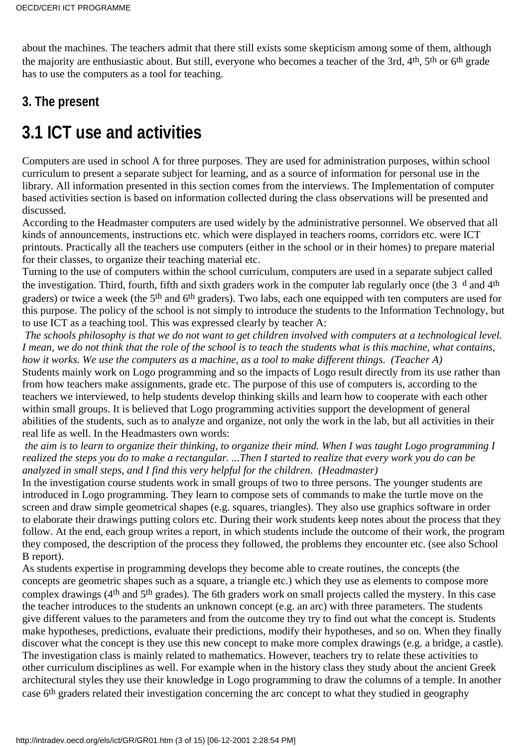about the machines. The teachers admit that there still exists some skepticism among some of them, although the majority are enthusiastic about. But still, everyone who becomes a teacher of the 3rd, 4<sup>th</sup>, 5<sup>th</sup> or 6<sup>th</sup> grade has to use the computers as a tool for teaching.

### **3. The present**

# **3.1 ICT use and activities**

Computers are used in school A for three purposes. They are used for administration purposes, within school curriculum to present a separate subject for learning, and as a source of information for personal use in the library. All information presented in this section comes from the interviews. The Implementation of computer based activities section is based on information collected during the class observations will be presented and discussed.

According to the Headmaster computers are used widely by the administrative personnel. We observed that all kinds of announcements, instructions etc. which were displayed in teachers rooms, corridors etc. were ICT printouts. Practically all the teachers use computers (either in the school or in their homes) to prepare material for their classes, to organize their teaching material etc.

Turning to the use of computers within the school curriculum, computers are used in a separate subject called the investigation. Third, fourth, fifth and sixth graders work in the computer lab regularly once (the 3<sup>d</sup> and 4<sup>th</sup> graders) or twice a week (the 5<sup>th</sup> and 6<sup>th</sup> graders). Two labs, each one equipped with ten computers are used for this purpose. The policy of the school is not simply to introduce the students to the Information Technology, but to use ICT as a teaching tool. This was expressed clearly by teacher A:

*The schools philosophy is that we do not want to get children involved with computers at a technological level. I mean, we do not think that the role of the school is to teach the students what is this machine, what contains, how it works. We use the computers as a machine, as a tool to make different things*. *(Teacher A)*

Students mainly work on Logo programming and so the impacts of Logo result directly from its use rather than from how teachers make assignments, grade etc. The purpose of this use of computers is, according to the teachers we interviewed, to help students develop thinking skills and learn how to cooperate with each other within small groups. It is believed that Logo programming activities support the development of general abilities of the students, such as to analyze and organize, not only the work in the lab, but all activities in their real life as well. In the Headmaster s own words:

*the aim is to learn to organize their thinking, to organize their mind. When I was taught Logo programming I realized the steps you do to make a rectangular. ...Then I started to realize that every work you do can be analyzed in small steps, and I find this very helpful for the children*. *(Headmaster)*

In the investigation course students work in small groups of two to three persons. The younger students are introduced in Logo programming. They learn to compose sets of commands to make the turtle move on the screen and draw simple geometrical shapes (e.g. squares, triangles). They also use graphics software in order to elaborate their drawings putting colors etc. During their work students keep notes about the process that they follow. At the end, each group writes a report, in which students include the outcome of their work, the program they composed, the description of the process they followed, the problems they encounter etc. (see also School B report).

As students expertise in programming develops they become able to create routines, the concepts (the concepts are geometric shapes such as a square, a triangle etc.) which they use as elements to compose more complex drawings (4th and 5th grades). The 6th graders work on small projects called the mystery. In this case the teacher introduces to the students an unknown concept (e.g. an arc) with three parameters. The students give different values to the parameters and from the outcome they try to find out what the concept is. Students make hypotheses, predictions, evaluate their predictions, modify their hypotheses, and so on. When they finally discover what the concept is they use this new concept to make more complex drawings (e.g. a bridge, a castle). The investigation class is mainly related to mathematics. However, teachers try to relate these activities to other curriculum disciplines as well. For example when in the history class they study about the ancient Greek architectural styles they use their knowledge in Logo programming to draw the columns of a temple. In another case 6th graders related their investigation concerning the arc concept to what they studied in geography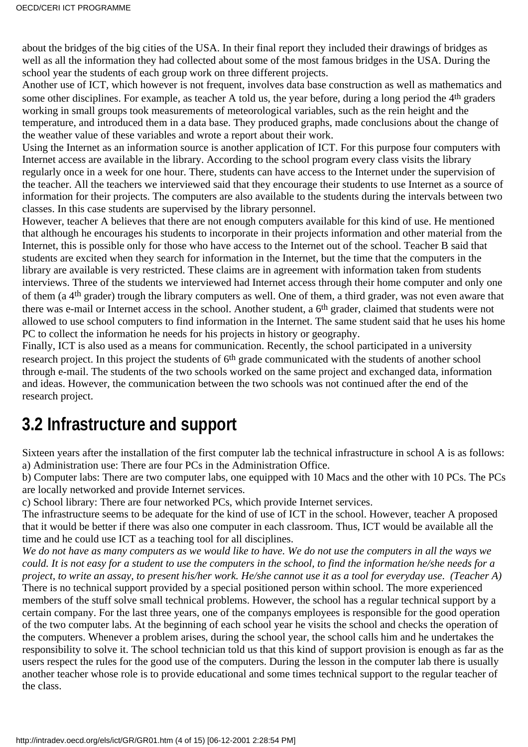about the bridges of the big cities of the USA. In their final report they included their drawings of bridges as well as all the information they had collected about some of the most famous bridges in the USA. During the school year the students of each group work on three different projects.

Another use of ICT, which however is not frequent, involves data base construction as well as mathematics and some other disciplines. For example, as teacher A told us, the year before, during a long period the 4<sup>th</sup> graders working in small groups took measurements of meteorological variables, such as the rein height and the temperature, and introduced them in a data base. They produced graphs, made conclusions about the change of the weather value of these variables and wrote a report about their work.

Using the Internet as an information source is another application of ICT. For this purpose four computers with Internet access are available in the library. According to the school program every class visits the library regularly once in a week for one hour. There, students can have access to the Internet under the supervision of the teacher. All the teachers we interviewed said that they encourage their students to use Internet as a source of information for their projects. The computers are also available to the students during the intervals between two classes. In this case students are supervised by the library personnel.

However, teacher A believes that there are not enough computers available for this kind of use. He mentioned that although he encourages his students to incorporate in their projects information and other material from the Internet, this is possible only for those who have access to the Internet out of the school. Teacher B said that students are excited when they search for information in the Internet, but the time that the computers in the library are available is very restricted. These claims are in agreement with information taken from students interviews. Three of the students we interviewed had Internet access through their home computer and only one of them (a 4th grader) trough the library computers as well. One of them, a third grader, was not even aware that there was e-mail or Internet access in the school. Another student, a 6th grader, claimed that students were not allowed to use school computers to find information in the Internet. The same student said that he uses his home PC to collect the information he needs for his projects in history or geography.

Finally, ICT is also used as a means for communication. Recently, the school participated in a university research project. In this project the students of 6<sup>th</sup> grade communicated with the students of another school through e-mail. The students of the two schools worked on the same project and exchanged data, information and ideas. However, the communication between the two schools was not continued after the end of the research project.

### **3.2 Infrastructure and support**

Sixteen years after the installation of the first computer lab the technical infrastructure in school A is as follows: a) Administration use: There are four PCs in the Administration Office.

b) Computer labs: There are two computer labs, one equipped with 10 Macs and the other with 10 PCs. The PCs are locally networked and provide Internet services.

c) School library: There are four networked PCs, which provide Internet services.

The infrastructure seems to be adequate for the kind of use of ICT in the school. However, teacher A proposed that it would be better if there was also one computer in each classroom. Thus, ICT would be available all the time and he could use ICT as a teaching tool for all disciplines.

*We do not have as many computers as we would like to have. We do not use the computers in all the ways we could. It is not easy for a student to use the computers in the school, to find the information he/she needs for a project, to write an assay, to present his/her work. He/she cannot use it as a tool for everyday use*. *(Teacher A)* There is no technical support provided by a special positioned person within school. The more experienced members of the stuff solve small technical problems. However, the school has a regular technical support by a certain company. For the last three years, one of the companys employees is responsible for the good operation of the two computer labs. At the beginning of each school year he visits the school and checks the operation of the computers. Whenever a problem arises, during the school year, the school calls him and he undertakes the responsibility to solve it. The school technician told us that this kind of support provision is enough as far as the users respect the rules for the good use of the computers. During the lesson in the computer lab there is usually another teacher whose role is to provide educational and some times technical support to the regular teacher of the class.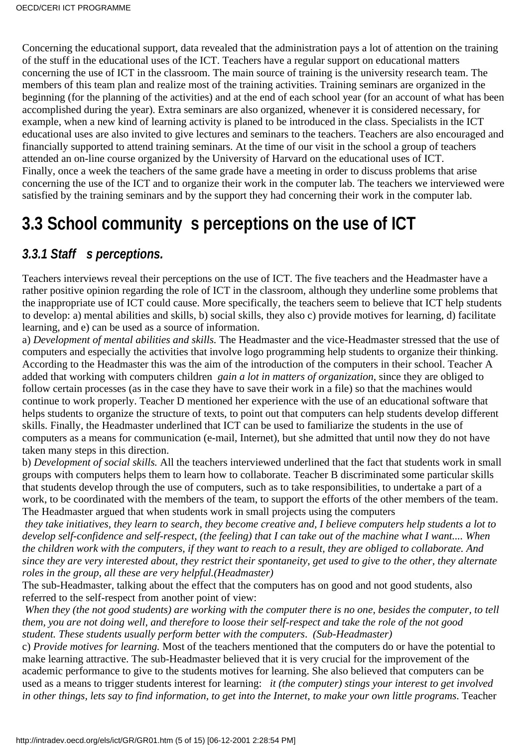Concerning the educational support, data revealed that the administration pays a lot of attention on the training of the stuff in the educational uses of the ICT. Teachers have a regular support on educational matters concerning the use of ICT in the classroom. The main source of training is the university research team. The members of this team plan and realize most of the training activities. Training seminars are organized in the beginning (for the planning of the activities) and at the end of each school year (for an account of what has been accomplished during the year). Extra seminars are also organized, whenever it is considered necessary, for example, when a new kind of learning activity is planed to be introduced in the class. Specialists in the ICT educational uses are also invited to give lectures and seminars to the teachers. Teachers are also encouraged and financially supported to attend training seminars. At the time of our visit in the school a group of teachers attended an on-line course organized by the University of Harvard on the educational uses of ICT. Finally, once a week the teachers of the same grade have a meeting in order to discuss problems that arise concerning the use of the ICT and to organize their work in the computer lab. The teachers we interviewed were satisfied by the training seminars and by the support they had concerning their work in the computer lab.

### **3.3 School community s perceptions on the use of ICT**

#### 3.3.1 Staff s perceptions.

Teachers interviews reveal their perceptions on the use of ICT. The five teachers and the Headmaster have a rather positive opinion regarding the role of ICT in the classroom, although they underline some problems that the inappropriate use of ICT could cause. More specifically, the teachers seem to believe that ICT help students to develop: a) mental abilities and skills, b) social skills, they also c) provide motives for learning, d) facilitate learning, and e) can be used as a source of information.

a) *Development of mental abilities and skills.* The Headmaster and the vice-Headmaster stressed that the use of computers and especially the activities that involve logo programming help students to organize their thinking. According to the Headmaster this was the aim of the introduction of the computers in their school. Teacher A added that working with computers children *gain a lot in matters of organization*, since they are obliged to follow certain processes (as in the case they have to save their work in a file) so that the machines would continue to work properly. Teacher D mentioned her experience with the use of an educational software that helps students to organize the structure of texts, to point out that computers can help students develop different skills. Finally, the Headmaster underlined that ICT can be used to familiarize the students in the use of computers as a means for communication (e-mail, Internet), but she admitted that until now they do not have taken many steps in this direction.

b) *Development of social skills.* All the teachers interviewed underlined that the fact that students work in small groups with computers helps them to learn how to collaborate. Teacher B discriminated some particular skills that students develop through the use of computers, such as to take responsibilities, to undertake a part of a work, to be coordinated with the members of the team, to support the efforts of the other members of the team. The Headmaster argued that when students work in small projects using the computers

*they take initiatives, they learn to search, they become creative and, I believe computers help students a lot to develop self-confidence and self-respect, (the feeling) that I can take out of the machine what I want.... When the children work with the computers, if they want to reach to a result, they are obliged to collaborate. And since they are very interested about, they restrict their spontaneity, get used to give to the other, they alternate roles in the group, all these are very helpful.(Headmaster)*

The sub-Headmaster, talking about the effect that the computers has on good and not good students, also referred to the self-respect from another point of view:

*When they (the not good students) are working with the computer there is no one, besides the computer, to tell them, you are not doing well, and therefore to loose their self-respect and take the role of the not good student. These students usually perform better with the computers*. *(Sub-Headmaster)*

c) *Provide motives for learning.* Most of the teachers mentioned that the computers do or have the potential to make learning attractive. The sub-Headmaster believed that it is very crucial for the improvement of the academic performance to give to the students motives for learning. She also believed that computers can be used as a means to trigger students interest for learning:  *it (the computer) stings your interest to get involved in other things, lets say to find information, to get into the Internet, to make your own little programs*. Teacher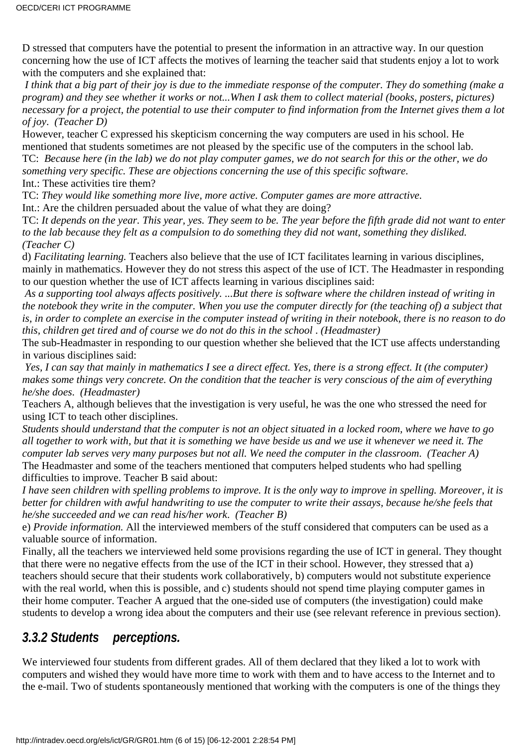D stressed that computers have the potential to present the information in an attractive way. In our question concerning how the use of ICT affects the motives of learning the teacher said that students enjoy a lot to work with the computers and she explained that:

*I think that a big part of their joy is due to the immediate response of the computer. They do something (make a program) and they see whether it works or not...When I ask them to collect material (books, posters, pictures) necessary for a project, the potential to use their computer to find information from the Internet gives them a lot of joy*. *(Teacher D)*

However, teacher C expressed his skepticism concerning the way computers are used in his school. He mentioned that students sometimes are not pleased by the specific use of the computers in the school lab.

TC: *Because here (in the lab) we do not play computer games, we do not search for this or the other, we do something very specific. These are objections concerning the use of this specific software.*

Int.: These activities tire them?

TC: *They would like something more live, more active. Computer games are more attractive.*

Int.: Are the children persuaded about the value of what they are doing?

TC: *It depends on the year. This year, yes. They seem to be. The year before the fifth grade did not want to enter to the lab because they felt as a compulsion to do something they did not want, something they disliked. (Teacher C)*

d) *Facilitating learning.* Teachers also believe that the use of ICT facilitates learning in various disciplines, mainly in mathematics. However they do not stress this aspect of the use of ICT. The Headmaster in responding to our question whether the use of ICT affects learning in various disciplines said:

*As a supporting tool always affects positively. ...But there is software where the children instead of writing in the notebook they write in the computer. When you use the computer directly for (the teaching of) a subject that is, in order to complete an exercise in the computer instead of writing in their notebook, there is no reason to do this, children get tired and of course we do not do this in the school*. *(Headmaster)*

The sub-Headmaster in responding to our question whether she believed that the ICT use affects understanding in various disciplines said:

*Yes, I can say that mainly in mathematics I see a direct effect. Yes, there is a strong effect. It (the computer) makes some things very concrete. On the condition that the teacher is very conscious of the aim of everything he/she does*. *(Headmaster)*

Teachers A, although believes that the investigation is very useful, he was the one who stressed the need for using ICT to teach other disciplines.

*Students should understand that the computer is not an object situated in a locked room, where we have to go all together to work with, but that it is something we have beside us and we use it whenever we need it. The computer lab serves very many purposes but not all. We need the computer in the classroom*. *(Teacher A)* The Headmaster and some of the teachers mentioned that computers helped students who had spelling difficulties to improve. Teacher B said about:

*I have seen children with spelling problems to improve. It is the only way to improve in spelling. Moreover, it is better for children with awful handwriting to use the computer to write their assays, because he/she feels that he/she succeeded and we can read his/her work*. *(Teacher B)*

e) *Provide information.* All the interviewed members of the stuff considered that computers can be used as a valuable source of information.

Finally, all the teachers we interviewed held some provisions regarding the use of ICT in general. They thought that there were no negative effects from the use of the ICT in their school. However, they stressed that a) teachers should secure that their students work collaboratively, b) computers would not substitute experience with the real world, when this is possible, and c) students should not spend time playing computer games in their home computer. Teacher A argued that the one-sided use of computers (the investigation) could make students to develop a wrong idea about the computers and their use (see relevant reference in previous section).

#### *3.3.2 Students perceptions.*

We interviewed four students from different grades. All of them declared that they liked a lot to work with computers and wished they would have more time to work with them and to have access to the Internet and to the e-mail. Two of students spontaneously mentioned that working with the computers is one of the things they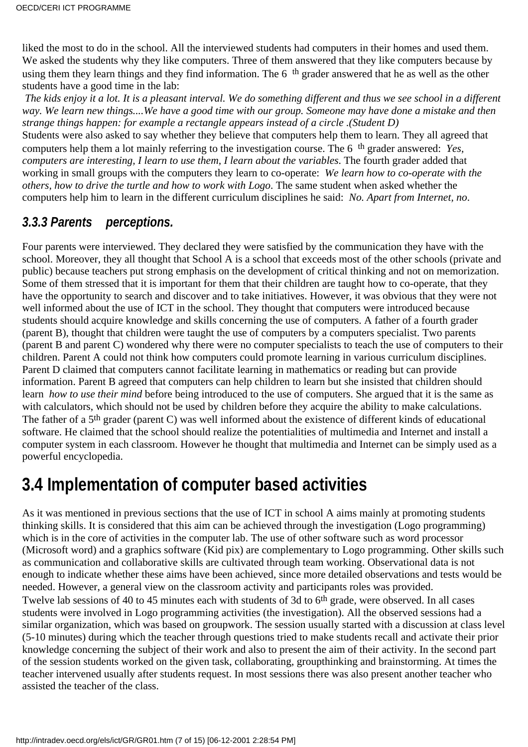liked the most to do in the school. All the interviewed students had computers in their homes and used them. We asked the students why they like computers. Three of them answered that they like computers because by using them they learn things and they find information. The 6<sup>th</sup> grader answered that he as well as the other students have a good time in the lab:

*The kids enjoy it a lot. It is a pleasant interval. We do something different and thus we see school in a different way. We learn new things....We have a good time with our group. Someone may have done a mistake and then strange things happen: for example a rectangle appears instead of a circle .(Student D)*

Students were also asked to say whether they believe that computers help them to learn. They all agreed that computers help them a lot mainly referring to the investigation course. The 6th grader answered: *Yes, computers are interesting, I learn to use them, I learn about the variables*. The fourth grader added that working in small groups with the computers they learn to co-operate: *We learn how to co-operate with the others, how to drive the turtle and how to work with Logo*. The same student when asked whether the computers help him to learn in the different curriculum disciplines he said: *No. Apart from Internet, no*.

#### *3.3.3 Parents perceptions.*

Four parents were interviewed. They declared they were satisfied by the communication they have with the school. Moreover, they all thought that School A is a school that exceeds most of the other schools (private and public) because teachers put strong emphasis on the development of critical thinking and not on memorization. Some of them stressed that it is important for them that their children are taught how to co-operate, that they have the opportunity to search and discover and to take initiatives. However, it was obvious that they were not well informed about the use of ICT in the school. They thought that computers were introduced because students should acquire knowledge and skills concerning the use of computers. A father of a fourth grader (parent B), thought that children were taught the use of computers by a computers specialist. Two parents (parent B and parent C) wondered why there were no computer specialists to teach the use of computers to their children. Parent A could not think how computers could promote learning in various curriculum disciplines. Parent D claimed that computers cannot facilitate learning in mathematics or reading but can provide information. Parent B agreed that computers can help children to learn but she insisted that children should learn *how to use their mind* before being introduced to the use of computers. She argued that it is the same as with calculators, which should not be used by children before they acquire the ability to make calculations. The father of a 5th grader (parent C) was well informed about the existence of different kinds of educational software. He claimed that the school should realize the potentialities of multimedia and Internet and install a computer system in each classroom. However he thought that multimedia and Internet can be simply used as a powerful encyclopedia.

### **3.4 Implementation of computer based activities**

As it was mentioned in previous sections that the use of ICT in school A aims mainly at promoting students thinking skills. It is considered that this aim can be achieved through the investigation (Logo programming) which is in the core of activities in the computer lab. The use of other software such as word processor (Microsoft word) and a graphics software (Kid pix) are complementary to Logo programming. Other skills such as communication and collaborative skills are cultivated through team working. Observational data is not enough to indicate whether these aims have been achieved, since more detailed observations and tests would be needed. However, a general view on the classroom activity and participants roles was provided. Twelve lab sessions of 40 to 45 minutes each with students of 3d to 6<sup>th</sup> grade, were observed. In all cases students were involved in Logo programming activities (the investigation). All the observed sessions had a similar organization, which was based on groupwork. The session usually started with a discussion at class level (5-10 minutes) during which the teacher through questions tried to make students recall and activate their prior knowledge concerning the subject of their work and also to present the aim of their activity. In the second part of the session students worked on the given task, collaborating, groupthinking and brainstorming. At times the teacher intervened usually after students request. In most sessions there was also present another teacher who assisted the teacher of the class.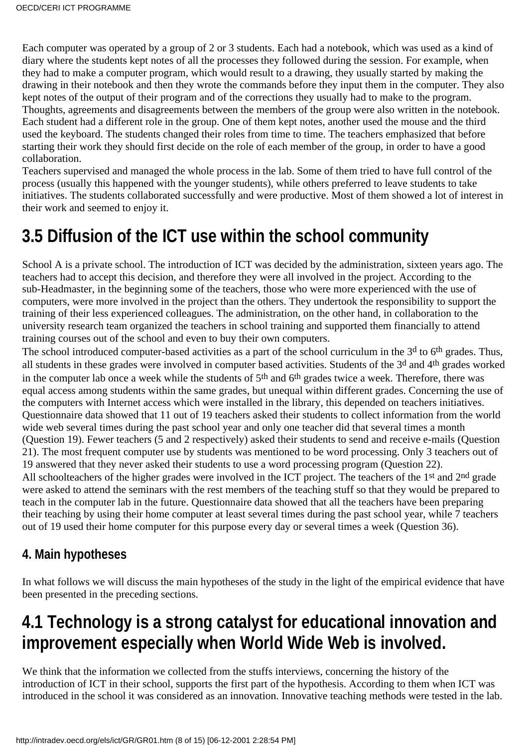Each computer was operated by a group of 2 or 3 students. Each had a notebook, which was used as a kind of diary where the students kept notes of all the processes they followed during the session. For example, when they had to make a computer program, which would result to a drawing, they usually started by making the drawing in their notebook and then they wrote the commands before they input them in the computer. They also kept notes of the output of their program and of the corrections they usually had to make to the program. Thoughts, agreements and disagreements between the members of the group were also written in the notebook. Each student had a different role in the group. One of them kept notes, another used the mouse and the third used the keyboard. The students changed their roles from time to time. The teachers emphasized that before starting their work they should first decide on the role of each member of the group, in order to have a good collaboration.

Teachers supervised and managed the whole process in the lab. Some of them tried to have full control of the process (usually this happened with the younger students), while others preferred to leave students to take initiatives. The students collaborated successfully and were productive. Most of them showed a lot of interest in their work and seemed to enjoy it.

# **3.5 Diffusion of the ICT use within the school community**

School A is a private school. The introduction of ICT was decided by the administration, sixteen years ago. The teachers had to accept this decision, and therefore they were all involved in the project. According to the sub-Headmaster, in the beginning some of the teachers, those who were more experienced with the use of computers, were more involved in the project than the others. They undertook the responsibility to support the training of their less experienced colleagues. The administration, on the other hand, in collaboration to the university research team organized the teachers in school training and supported them financially to attend training courses out of the school and even to buy their own computers.

The school introduced computer-based activities as a part of the school curriculum in the 3<sup>d</sup> to 6<sup>th</sup> grades. Thus, all students in these grades were involved in computer based activities. Students of the 3d and 4th grades worked in the computer lab once a week while the students of 5th and 6th grades twice a week. Therefore, there was equal access among students within the same grades, but unequal within different grades. Concerning the use of the computers with Internet access which were installed in the library, this depended on teachers initiatives. Questionnaire data showed that 11 out of 19 teachers asked their students to collect information from the world wide web several times during the past school year and only one teacher did that several times a month (Question 19). Fewer teachers (5 and 2 respectively) asked their students to send and receive e-mails (Question 21). The most frequent computer use by students was mentioned to be word processing. Only 3 teachers out of 19 answered that they never asked their students to use a word processing program (Question 22). All schoolteachers of the higher grades were involved in the ICT project. The teachers of the 1<sup>st</sup> and 2<sup>nd</sup> grade were asked to attend the seminars with the rest members of the teaching stuff so that they would be prepared to teach in the computer lab in the future. Questionnaire data showed that all the teachers have been preparing their teaching by using their home computer at least several times during the past school year, while 7 teachers out of 19 used their home computer for this purpose every day or several times a week (Question 36).

#### **4. Main hypotheses**

In what follows we will discuss the main hypotheses of the study in the light of the empirical evidence that have been presented in the preceding sections.

### **4.1 Technology is a strong catalyst for educational innovation and improvement especially when World Wide Web is involved.**

We think that the information we collected from the stuff s interviews, concerning the history of the introduction of ICT in their school, supports the first part of the hypothesis. According to them when ICT was introduced in the school it was considered as an innovation. Innovative teaching methods were tested in the lab.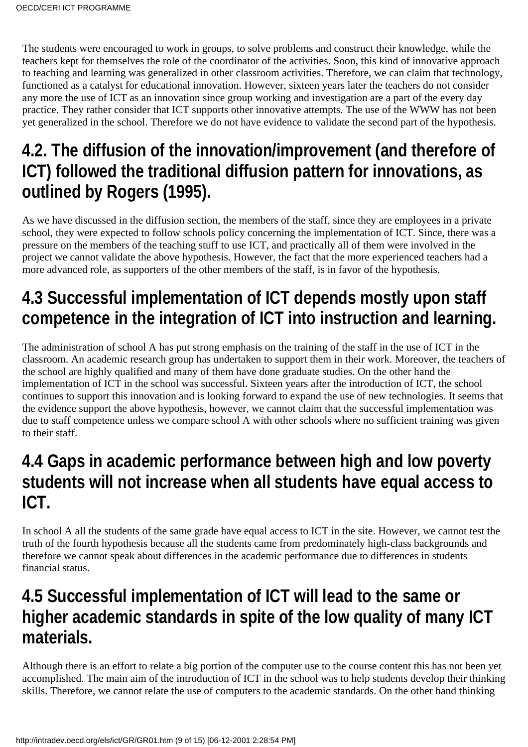The students were encouraged to work in groups, to solve problems and construct their knowledge, while the teachers kept for themselves the role of the coordinator of the activities. Soon, this kind of innovative approach to teaching and learning was generalized in other classroom activities. Therefore, we can claim that technology, functioned as a catalyst for educational innovation. However, sixteen years later the teachers do not consider any more the use of ICT as an innovation since group working and investigation are a part of the every day practice. They rather consider that ICT supports other innovative attempts. The use of the WWW has not been yet generalized in the school. Therefore we do not have evidence to validate the second part of the hypothesis.

### **4.2. The diffusion of the innovation/improvement (and therefore of ICT) followed the traditional diffusion pattern for innovations, as outlined by Rogers (1995).**

As we have discussed in the diffusion section, the members of the staff, since they are employees in a private school, they were expected to follow school s policy concerning the implementation of ICT. Since, there was a pressure on the members of the teaching stuff to use ICT, and practically all of them were involved in the project we cannot validate the above hypothesis. However, the fact that the more experienced teachers had a more advanced role, as supporters of the other members of the staff, is in favor of the hypothesis.

# **4.3 Successful implementation of ICT depends mostly upon staff competence in the integration of ICT into instruction and learning.**

The administration of school A has put strong emphasis on the training of the staff in the use of ICT in the classroom. An academic research group has undertaken to support them in their work. Moreover, the teachers of the school are highly qualified and many of them have done graduate studies. On the other hand the implementation of ICT in the school was successful. Sixteen years after the introduction of ICT, the school continues to support this innovation and is looking forward to expand the use of new technologies. It seems that the evidence support the above hypothesis, however, we cannot claim that the successful implementation was due to staff competence unless we compare school A with other schools where no sufficient training was given to their staff.

### **4.4 Gaps in academic performance between high and low poverty students will not increase when all students have equal access to ICT.**

In school A all the students of the same grade have equal access to ICT in the site. However, we cannot test the truth of the fourth hypothesis because all the students came from predominately high-class backgrounds and therefore we cannot speak about differences in the academic performance due to differences in students financial status.

### **4.5 Successful implementation of ICT will lead to the same or higher academic standards in spite of the low quality of many ICT materials.**

Although there is an effort to relate a big portion of the computer use to the course content this has not been yet accomplished. The main aim of the introduction of ICT in the school was to help students develop their thinking skills. Therefore, we cannot relate the use of computers to the academic standards. On the other hand thinking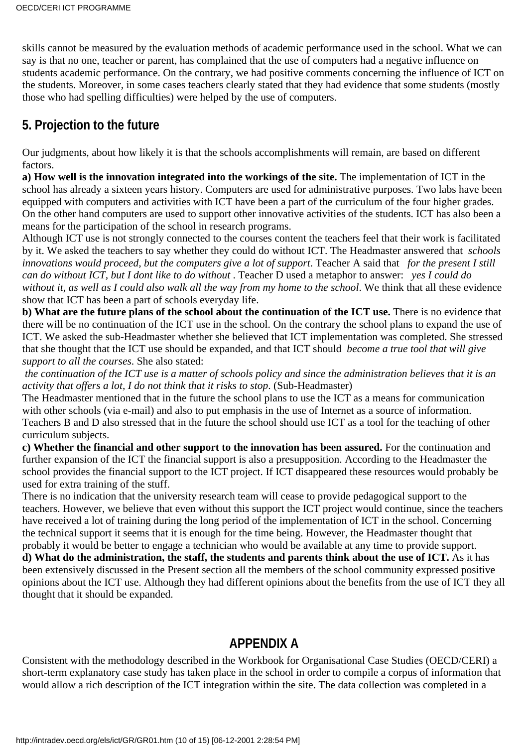skills cannot be measured by the evaluation methods of academic performance used in the school. What we can say is that no one, teacher or parent, has complained that the use of computers had a negative influence on students academic performance. On the contrary, we had positive comments concerning the influence of ICT on the students. Moreover, in some cases teachers clearly stated that they had evidence that some students (mostly those who had spelling difficulties) were helped by the use of computers.

#### **5. Projection to the future**

Our judgments, about how likely it is that the school s accomplishments will remain, are based on different factors.

**a) How well is the innovation integrated into the workings of the site.** The implementation of ICT in the school has already a sixteen years history. Computers are used for administrative purposes. Two labs have been equipped with computers and activities with ICT have been a part of the curriculum of the four higher grades. On the other hand computers are used to support other innovative activities of the students. ICT has also been a means for the participation of the school in research programs.

Although ICT use is not strongly connected to the courses content the teachers feel that their work is facilitated by it. We asked the teachers to say whether they could do without ICT. The Headmaster answered that *schools innovations would proceed, but the computers give a lot of support*. Teacher A said that *for the present I still can do without ICT, but I dont like to do without*. Teacher D used a metaphor to answer: *yes I could do* without it, as well as I could also walk all the way from my home to the school. We think that all these evidence show that ICT has been a part of school s everyday life.

**b)** What are the future plans of the school about the continuation of the ICT use. There is no evidence that there will be no continuation of the ICT use in the school. On the contrary the school plans to expand the use of ICT. We asked the sub-Headmaster whether she believed that ICT implementation was completed. She stressed that she thought that the ICT use should be expanded, and that ICT should *become a true tool that will give support to all the courses*. She also stated:

*the continuation of the ICT use is a matter of schools policy and since the administration believes that it is an activity that offers a lot, I do not think that it risks to stop*. (Sub-Headmaster)

The Headmaster mentioned that in the future the school plans to use the ICT as a means for communication with other schools (via e-mail) and also to put emphasis in the use of Internet as a source of information. Teachers B and D also stressed that in the future the school should use ICT as a tool for the teaching of other curriculum subjects.

**c) Whether the financial and other support to the innovation has been assured.** For the continuation and further expansion of the ICT the financial support is also a presupposition. According to the Headmaster the school provides the financial support to the ICT project. If ICT disappeared these resources would probably be used for extra training of the stuff.

There is no indication that the university research team will cease to provide pedagogical support to the teachers. However, we believe that even without this support the ICT project would continue, since the teachers have received a lot of training during the long period of the implementation of ICT in the school. Concerning the technical support it seems that it is enough for the time being. However, the Headmaster thought that probably it would be better to engage a technician who would be available at any time to provide support.

**d) What do the administration, the staff, the students and parents think about the use of ICT.** As it has been extensively discussed in the Present section all the members of the school community expressed positive opinions about the ICT use. Although they had different opinions about the benefits from the use of ICT they all thought that it should be expanded.

#### **APPENDIX A**

Consistent with the methodology described in the Workbook for Organisational Case Studies (OECD/CERI) a short-term explanatory case study has taken place in the school in order to compile a corpus of information that would allow a rich description of the ICT integration within the site. The data collection was completed in a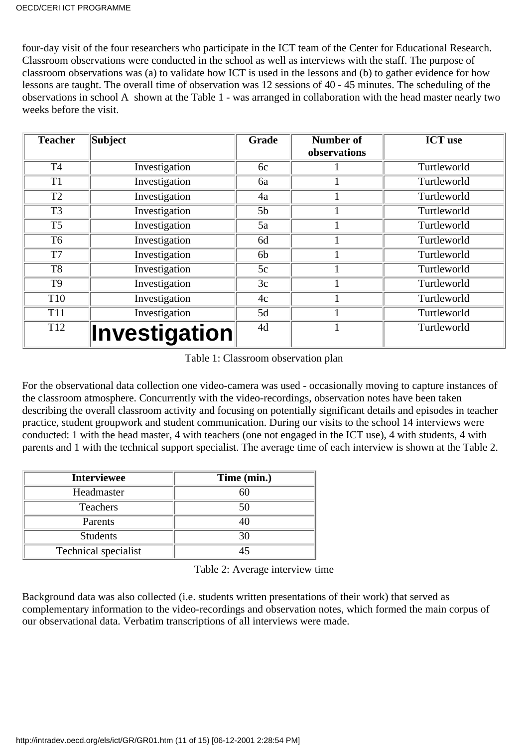four-day visit of the four researchers who participate in the ICT team of the Center for Educational Research. Classroom observations were conducted in the school as well as interviews with the staff. The purpose of classroom observations was (a) to validate how ICT is used in the lessons and (b) to gather evidence for how lessons are taught. The overall time of observation was 12 sessions of 40 - 45 minutes. The scheduling of the observations in school A shown at the Table 1 - was arranged in collaboration with the head master nearly two weeks before the visit.

| <b>Teacher</b>  | <b>Subject</b>        | Grade          | <b>Number of</b> | <b>ICT</b> use |
|-----------------|-----------------------|----------------|------------------|----------------|
|                 |                       |                | observations     |                |
| <b>T4</b>       | Investigation         | 6c             |                  | Turtleworld    |
| T1              | Investigation         | 6a             |                  | Turtleworld    |
| T <sub>2</sub>  | Investigation         | 4a             |                  | Turtleworld    |
| T <sub>3</sub>  | Investigation         | 5 <sub>b</sub> |                  | Turtleworld    |
| T <sub>5</sub>  | Investigation         | 5a             |                  | Turtleworld    |
| T <sub>6</sub>  | Investigation         | 6d             |                  | Turtleworld    |
| T7              | Investigation         | 6b             |                  | Turtleworld    |
| T <sub>8</sub>  | Investigation         | 5c             |                  | Turtleworld    |
| T <sub>9</sub>  | Investigation         | 3c             |                  | Turtleworld    |
| T <sub>10</sub> | Investigation         | 4c             |                  | Turtleworld    |
| <b>T11</b>      | Investigation         | 5d             |                  | Turtleworld    |
| T <sub>12</sub> | $ $ Investigation $ $ | 4d             |                  | Turtleworld    |

Table 1: Classroom observation plan

For the observational data collection one video-camera was used - occasionally moving to capture instances of the classroom atmosphere. Concurrently with the video-recordings, observation notes have been taken describing the overall classroom activity and focusing on potentially significant details and episodes in teacher practice, student groupwork and student communication. During our visits to the school 14 interviews were conducted: 1 with the head master, 4 with teachers (one not engaged in the ICT use), 4 with students, 4 with parents and 1 with the technical support specialist. The average time of each interview is shown at the Table 2.

| <b>Interviewee</b>   | Time (min.) |
|----------------------|-------------|
| Headmaster           |             |
| <b>Teachers</b>      | 50          |
| Parents              |             |
| <b>Students</b>      | 30          |
| Technical specialist |             |

Table 2: Average interview time

Background data was also collected (i.e. students written presentations of their work) that served as complementary information to the video-recordings and observation notes, which formed the main corpus of our observational data. Verbatim transcriptions of all interviews were made.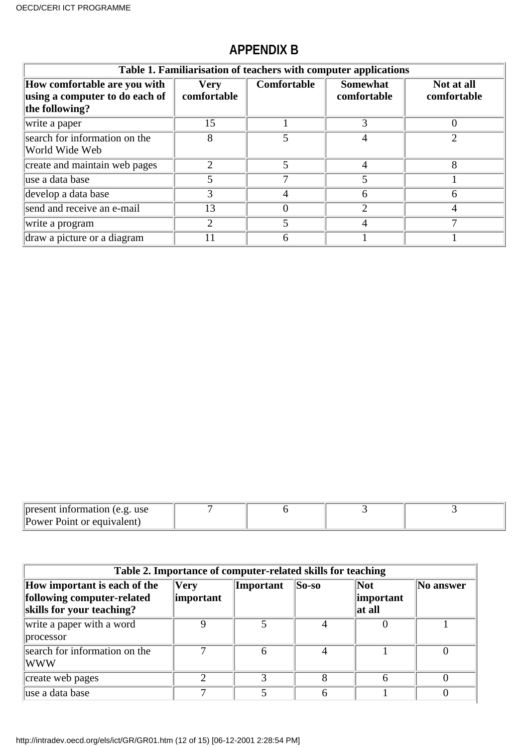### **APPENDIX B**

| Table 1. Familiarisation of teachers with computer applications                  |                            |             |                                |                           |  |  |  |
|----------------------------------------------------------------------------------|----------------------------|-------------|--------------------------------|---------------------------|--|--|--|
| How comfortable are you with<br>using a computer to do each of<br>the following? | <b>Very</b><br>comfortable | Comfortable | <b>Somewhat</b><br>comfortable | Not at all<br>comfortable |  |  |  |
| write a paper                                                                    | 15                         |             |                                |                           |  |  |  |
| search for information on the<br>World Wide Web                                  |                            |             |                                |                           |  |  |  |
| create and maintain web pages                                                    | 2                          |             |                                |                           |  |  |  |
| luse a data base                                                                 |                            |             |                                |                           |  |  |  |
| develop a data base                                                              |                            | 4           | n                              |                           |  |  |  |
| send and receive an e-mail                                                       | 13                         |             |                                |                           |  |  |  |
| write a program                                                                  | 2                          |             |                                |                           |  |  |  |
| draw a picture or a diagram                                                      |                            |             |                                |                           |  |  |  |

| $\parallel$ present information (e.g. use |  |  |
|-------------------------------------------|--|--|
| Power Point or equivalent)                |  |  |

| Table 2. Importance of computer-related skills for teaching                             |                              |           |               |                                           |           |  |  |
|-----------------------------------------------------------------------------------------|------------------------------|-----------|---------------|-------------------------------------------|-----------|--|--|
| How important is each of the<br>following computer-related<br>skills for your teaching? | $ V$ ery<br><i>important</i> | Important | $\vert$ So-so | $\vert$ Not<br><i>important</i><br>at all | No answer |  |  |
| write a paper with a word<br>processor                                                  |                              |           |               |                                           |           |  |  |
| search for information on the<br> WWW                                                   |                              | 6         | 4             |                                           |           |  |  |
| create web pages                                                                        |                              | 2         | 8             | 6                                         |           |  |  |
| luse a data base                                                                        |                              |           |               |                                           |           |  |  |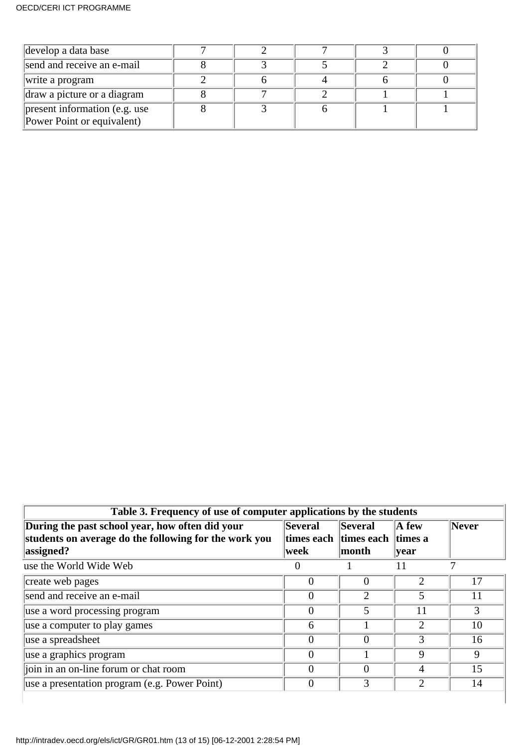| develop a data base                                         |  |  |  |
|-------------------------------------------------------------|--|--|--|
| send and receive an e-mail                                  |  |  |  |
| write a program                                             |  |  |  |
| draw a picture or a diagram                                 |  |  |  |
| present information (e.g. use<br>Power Point or equivalent) |  |  |  |

| Table 3. Frequency of use of computer applications by the students                                                    |                         |                                                                |                          |       |  |  |
|-----------------------------------------------------------------------------------------------------------------------|-------------------------|----------------------------------------------------------------|--------------------------|-------|--|--|
| During the past school year, how often did your<br>students on average do the following for the work you<br>assigned? | <b>Several</b><br> week | <b>Several</b><br> times each   times each   times a<br> month | $\mathbf A$ few<br> year | Never |  |  |
| use the World Wide Web                                                                                                | $\overline{0}$          |                                                                | 11                       |       |  |  |
| create web pages                                                                                                      | $\Omega$                | 0                                                              | 2                        | 17    |  |  |
| send and receive an e-mail                                                                                            | $\Omega$                | 2                                                              | 5                        | 11    |  |  |
| use a word processing program                                                                                         | $\Omega$                | 5                                                              | 11                       | 3     |  |  |
| use a computer to play games                                                                                          | 6                       |                                                                | 2                        | 10    |  |  |
| use a spreadsheet                                                                                                     | $\Omega$                | 0                                                              | 3                        | 16    |  |  |
| use a graphics program                                                                                                | $\Omega$                |                                                                | 9                        | 9     |  |  |
| join in an on-line forum or chat room                                                                                 | $\Omega$                | 0                                                              | 4                        | 15    |  |  |
| use a presentation program (e.g. Power Point)                                                                         | $\Omega$                | 3                                                              | $\mathfrak{D}$           | 14    |  |  |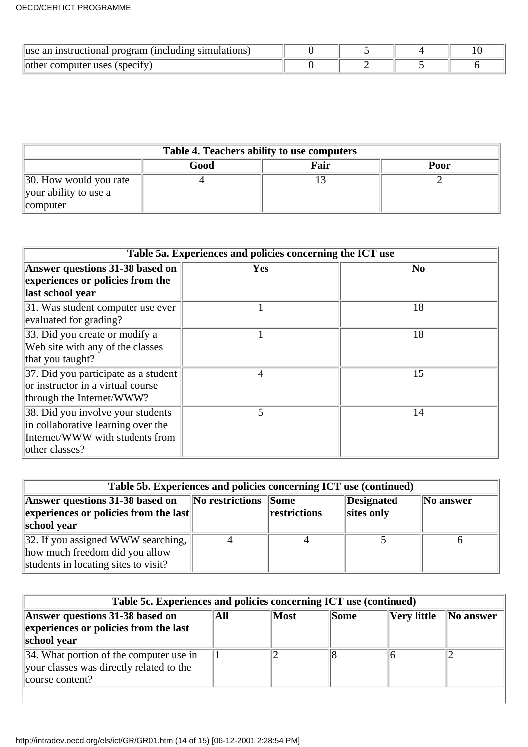| luse an instructional program (including simulations) |  |  |
|-------------------------------------------------------|--|--|
| other computer uses (specify)                         |  |  |

| Table 4. Teachers ability to use computers                  |  |  |  |  |  |  |  |  |
|-------------------------------------------------------------|--|--|--|--|--|--|--|--|
| Good<br>Fair<br>Poor                                        |  |  |  |  |  |  |  |  |
| 30. How would you rate<br>your ability to use a<br>computer |  |  |  |  |  |  |  |  |

| Table 5a. Experiences and policies concerning the ICT use                                                                    |            |                |  |  |  |
|------------------------------------------------------------------------------------------------------------------------------|------------|----------------|--|--|--|
| Answer questions 31-38 based on<br>experiences or policies from the<br>last school year                                      | <b>Yes</b> | N <sub>0</sub> |  |  |  |
| 31. Was student computer use ever<br>evaluated for grading?                                                                  |            | 18             |  |  |  |
| 33. Did you create or modify a<br>Web site with any of the classes<br>that you taught?                                       |            | 18             |  |  |  |
| 37. Did you participate as a student<br>or instructor in a virtual course<br>through the Internet/WWW?                       | 4          | 15             |  |  |  |
| 38. Did you involve your students<br>in collaborative learning over the<br>Internet/WWW with students from<br>other classes? | 5          | 14             |  |  |  |

| Table 5b. Experiences and policies concerning ICT use (continued)                                            |                      |                                      |                          |           |  |  |
|--------------------------------------------------------------------------------------------------------------|----------------------|--------------------------------------|--------------------------|-----------|--|--|
| Answer questions 31-38 based on<br>$\left\Vert \text{experiences or policies from the last}\right\Vert$      | $\ $ No restrictions | $\sqrt{\text{Some}}$<br>restrictions | Designated<br>sites only | No answer |  |  |
| school year                                                                                                  |                      |                                      |                          |           |  |  |
| 32. If you assigned WWW searching,<br>how much freedom did you allow<br>students in locating sites to visit? |                      |                                      |                          |           |  |  |

| Table 5c. Experiences and policies concerning ICT use (continued)                                              |     |      |             |                    |                |  |  |
|----------------------------------------------------------------------------------------------------------------|-----|------|-------------|--------------------|----------------|--|--|
| Answer questions 31-38 based on<br>experiences or policies from the last<br>school year                        | All | Most | <b>Some</b> | <b>Very little</b> | $\ $ No answer |  |  |
| $\vert$ 34. What portion of the computer use in<br>your classes was directly related to the<br>course content? |     |      |             |                    |                |  |  |